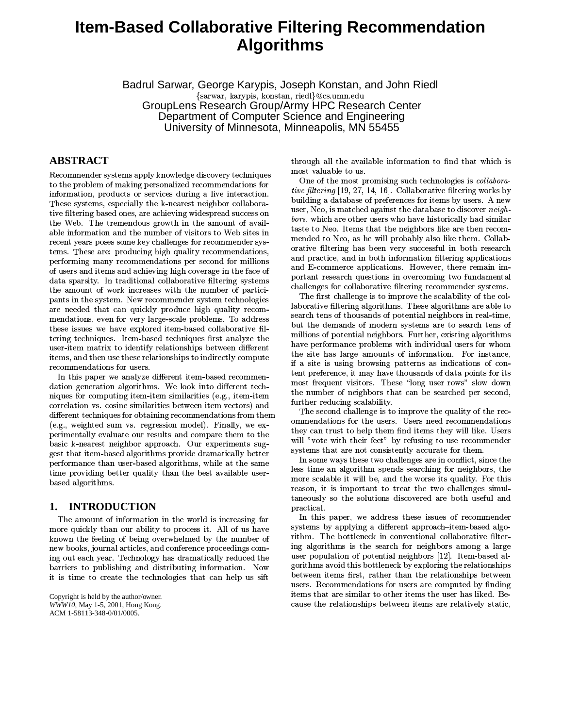# **Item-Based Collaborative Filtering Recommendation Algorithms**

Badrul Sarwar, George Karypis, Joseph Konstan, and John Riedl {sarwar, karynis, konstan, riedl}@cs.umn.edu GroupLens Research Group/Army HPC Research Center Department of Computer Science and Engineering University of Minnesota, Minneapolis, MN 55455

# **ABSTRACT**

 $+$  0.000  $+$  0.000  $+$  0.000  $+$  0.000  $+$  0.000  $+$  0.000  $+$  0.000  $+$  0.000  $+$  0.000  $+$  0.000  $+$  0.000  $+$  0.000  $+$  0.000  $+$  0.000  $+$  0.000  $+$  0.000  $+$  0.000  $+$  0.000  $+$  0.000  $+$  0.000  $+$  0.000  $+$  0.000 information, products or services during a live interaction.  $\sim$  0.000  $\sim$  0.000  $\sim$  0.000  $\sim$  0.000  $\sim$  0.000  $\sim$  0.000  $\sim$  0.000  $\sim$  0.000  $\sim$  0.000  $\sim$  0.000  $\sim$  0.000  $\sim$  0.000  $\sim$  0.000  $\sim$  0.000  $\sim$  0.000  $\sim$  0.000  $\sim$  0.000  $\sim$  0.000  $\sim$  0.000  $\sim$  0.000 . So a second construction of the construction of the construction of the construction of the construction of the construction of the construction of the construction of the construction of the construction of the construc the Web. The tremendous growth in the amount of available information and the number of visitors to Web sites in  $T_{\rm eff}$  and  $T_{\rm eff}$  are the contract of the contract of the contract of the contract of the contract of the contract of the contract of the contract of the contract of the contract of the contract of the contract of the tems. These are: producing high quality recommendations, 8. Andrews Andrews Andrews Andrews Andrews Andrews Andrews Andrews Andrews Andrews Andrews Andrews Andrews And @.(-4 Z0)\*R K%7513<737K% 583SZ7=@#%2@ data sparsity. In traditional collaborative filtering systems  $\qquad$ the amount of work increases with the number of participants in the system. New recommender system technologies mendations, even for very large-scale problems. To address  $\sim$   $^8$ tering techniques. Item-based techniques first analyze the  $\mathbf{m}$ user-item matrix to identify relationships between different items, and then use these relationships to indirectly compute recommendations for users.

dation generation algorithms. We look into different techniques for computing item-item similarities (e.g., item-item correlation vs. cosine similarities between item vectors) and 0n.-;/-%87:9;(
@#C>:3 %)\*)\*-, @N)i7)  $(e.g., weighted sum vs. regression model). Finally, we ex-$ 8:)\*-1!!J5!(, M(S(!0&, \_%)\*F7)wK7 basic k-nearest neighbor approach. Our experiments sug-3k7R0)KOP>,- K!307)\*R 51: S )A%-!!0K>
8- 8. A 2007) A 2007 A 2007 A 2007 A 2007 A 2007 A 2007 A 2007 A 2007 A 2007 A 2007 A 2007 A 2007 A 2007 A 2007 A  $\operatorname{based}$  algorithms.

# **1. INTRODUCTION**

the contract of the contract of the contract of the contract of the contract of the contract of the contract of more quickly than our ability to process it. All of us ha 1 2c7Z@D!3]@ >
3I 5827!)\*- `>;c7K1()G>
-<@ new books, journal articles, and conference proceedings coming out each vear. Technology has dramatically reduced the  $\qquad \quad \text{us}$ barriers to publishing and distributing information. Now 0YK)\*JW%-I7\_%87!:3A7, A%-h7!j(\*0@D

Copyright is held by the author/owner. *WWW10,* May 1-5, 2001, Hong Kong. ACM 1-58113-348-0/01/0005.

7(37d!![7A-5!N>!A@#)AXJQ, c7, F27%7V most valuable to us.

One of the most promising such technologies is *collabora* $tive\ filter in a\ [19, 27, 14, 16]$ . Collaborative filtering works by building a database of preferences for items by users. A new effects and the state of the state of the state of the state of the state of the state of the state of the state of the state of the state of the state of the state of the state of the state of the state of the state of th taste to Neo. Items that the neighbors like are then  ${\rm recon-}$ mended to Neo, as he will probably also like them. Collaband E-commerce applications. However, there remain imchallenges for collaborative filtering recommender systems.

L72Qk%87!!3&4H)\* 5 76%-!:>!0^A@/7S%-!0O laborative filtering algorithms. These algorithms are able to millions of potential neighbors. Further, existing algorithms 7,-5&
-@#)A%-F>!)\*=207I, 51: (!(- @#227) the site has large amounts of information. For instance, 0@MW0]Y(3d>-23W,8YA, :%\_@H%O ;4-@D-%-10=)AZ7-2 (2009) AZ7-2 (2009) AZ7-2 (2009) AZ7-2 (2009) AZ7-2 (2009) AZ7-2 (2009) AZ7-2 (2009) AZ7-2 ( most frequent visitors. These "long user rows" slow down 7\*1()Z>
-&@2-:371>
H7,H%V>
\*- %87- W
-M%-, . further reducing scalability.

 $\rm{ommendations}$  for the users. Users need recommendations they can trust to help them find items they will like. Users will "vote with their feet" by refusing to use recommender systems that are not consistently accurate for them.

more scalable it will be, and the worse its quality. For this  $\rm practical.$ 

5 )\*<>;c!03I\_ 0n.-;M%7-)KOa>- X!3O anathama arraid this hattlenaals by armlaning the neletionaling b^7J,
--S=X 1J7X(I@H%-)\*)\* rithm. The bottleneck in conventional collaborative filter-3f!307)\*\_:A7`- %87 @DI371>
J)\*3oV!:3 user population of potential neighbors  $[12]$ . Item-based alusers. Recommendations for users are computed by finding  $\overline{\phantom{a}}$ items that are similar to other items the user has liked. Be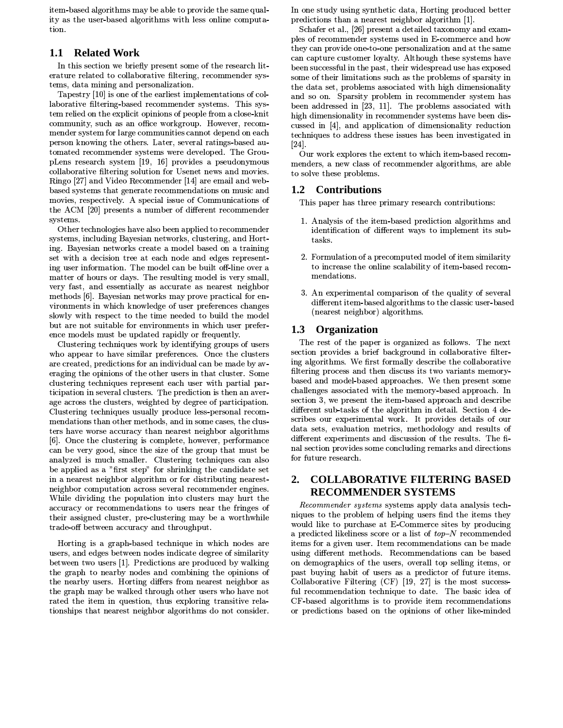item-based algorithms may be able to provide the same quality as the user-based algorithms with less online computation

#### 1.1 **Related Work**

In this section we briefly present some of the research literature related to collaborative filtering, recommender systems, data mining and personalization.

Tapestry [10] is one of the earliest implementations of collaborative filtering-based recommender systems. This system relied on the explicit opinions of people from a close-knit community, such as an office workgroup. However, recommender system for large communities cannot depend on each person knowing the others. Later, several ratings-based automated recommender systems were developed. The GroupLens research system [19, 16] provides a pseudonymous collaborative filtering solution for Usenet news and movies. Ringo [27] and Video Recommender [14] are email and webbased systems that generate recommendations on music and movies, respectively. A special issue of Communications of the ACM [20] presents a number of different recommender systems.

Other technologies have also been applied to recommender systems, including Bayesian networks, clustering, and Horting. Bayesian networks create a model based on a training set with a decision tree at each node and edges representing user information. The model can be built off-line over a matter of hours or days. The resulting model is very small, very fast, and essentially as accurate as nearest neighbor methods [6]. Bayesian networks may prove practical for environments in which knowledge of user preferences changes slowly with respect to the time needed to build the model but are not suitable for environments in which user preference models must be updated rapidly or frequently.

Clustering techniques work by identifying groups of users who appear to have similar preferences. Once the clusters are created, predictions for an individual can be made by averaging the opinions of the other users in that cluster. Some clustering techniques represent each user with partial participation in several clusters. The prediction is then an average across the clusters, weighted by degree of participation. Clustering techniques usually produce less-personal recommendations than other methods, and in some cases, the clusters have worse accuracy than nearest neighbor algorithms [6]. Once the clustering is complete, however, performance can be very good, since the size of the group that must be analyzed is much smaller. Clustering techniques can also be applied as a "first step" for shrinking the candidate set in a nearest neighbor algorithm or for distributing nearestneighbor computation across several recommender engines. While dividing the population into clusters may hurt the accuracy or recommendations to users near the fringes of their assigned cluster, pre-clustering may be a worthwhile trade-off between accuracy and throughput.

Horting is a graph-based technique in which nodes are users, and edges between nodes indicate degree of similarity between two users [1]. Predictions are produced by walking the graph to nearby nodes and combining the opinions of the nearby users. Horting differs from nearest neighbor as the graph may be walked through other users who have not rated the item in question, thus exploring transitive relationships that nearest neighbor algorithms do not consider.

In one study using synthetic data, Horting produced better predictions than a nearest neighbor algorithm [1].

Schafer et al., [26] present a detailed taxonomy and examples of recommender systems used in E-commerce and how they can provide one-to-one personalization and at the same can capture customer loyalty. Although these systems have been successful in the past, their widespread use has exposed some of their limitations such as the problems of sparsity in the data set, problems associated with high dimensionality and so on. Sparsity problem in recommender system has been addressed in [23, 11]. The problems associated with high dimensionality in recommender systems have been discussed in [4], and application of dimensionality reduction techniques to address these issues has been investigated in  $\left[24\right]$ 

Our work explores the extent to which item-based recommenders, a new class of recommender algorithms, are able to solve these problems.

# 1.2 Contributions

This paper has three primary research contributions:

- 1. Analysis of the item-based prediction algorithms and identification of different ways to implement its subtasks.
- 2. Formulation of a precomputed model of item similarity to increase the online scalability of item-based recommendations.
- 3. An experimental comparison of the quality of several different item-based algorithms to the classic user-based (nearest neighbor) algorithms.

# 1.3 Organization

The rest of the paper is organized as follows. The next section provides a brief background in collaborative filtering algorithms. We first formally describe the collaborative filtering process and then discuss its two variants memorybased and model-based approaches. We then present some challenges associated with the memory-based approach. In section 3, we present the item-based approach and describe different sub-tasks of the algorithm in detail. Section 4 describes our experimental work. It provides details of our data sets, evaluation metrics, methodology and results of different experiments and discussion of the results. The final section provides some concluding remarks and directions for future research.

### **COLLABORATIVE FILTERING BASED** 2. **RECOMMENDER SYSTEMS**

Recommender systems systems apply data analysis techniques to the problem of helping users find the items they would like to purchase at E-Commerce sites by producing a predicted likeliness score or a list of  $top-N$  recommended items for a given user. Item recommendations can be made using different methods. Recommendations can be based on demographics of the users, overall top selling items, or past buying habit of users as a predictor of future items. Collaborative Filtering (CF) [19, 27] is the most successful recommendation technique to date. The basic idea of CF-based algorithms is to provide item recommendations or predictions based on the opinions of other like-minded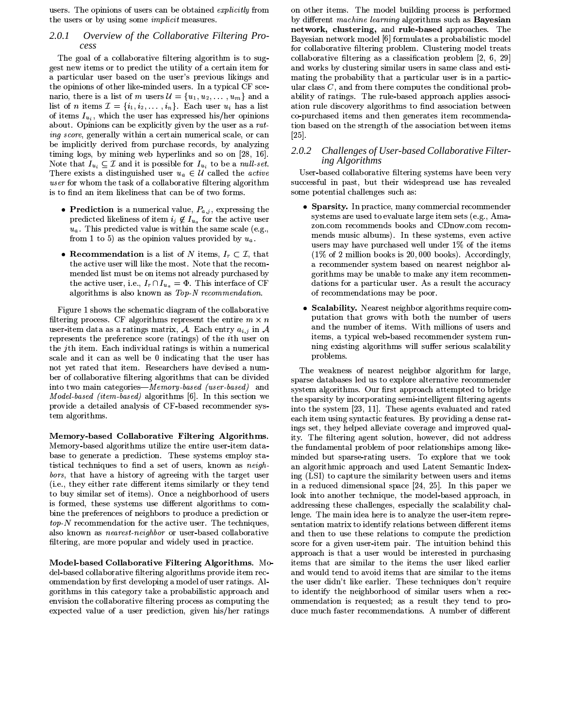users. The opinions of users can be obtained explicitly from the users or by using some *implicit* measures.

### 2.0.1 Overview of the Collaborative Filtering Process

The goal of a collaborative filtering algorithm is to suggest new items or to predict the utility of a certain item for a particular user based on the user's previous likings and the opinions of other like-minded users. In a typical CF scenario, there is a list of m users  $\mathcal{U} = \{u_1, u_2, \ldots, u_m\}$  and a list of *n* items  $\mathcal{I} = \{i_1, i_2, \ldots, i_n\}$ . Each user  $u_i$  has a list of items  $I_{u_i}$ , which the user has expressed his/her opinions about. Opinions can be explicitly given by the user as a rating score, generally within a certain numerical scale, or can be implicitly derived from purchase records, by analyzing timing logs, by mining web hyperlinks and so on [28, 16]. Note that  $I_{u_i} \subseteq \mathcal{I}$  and it is possible for  $I_{u_i}$  to be a *null set*. There exists a distinguished user  $u_a \in \mathcal{U}$  called the *active* user for whom the task of a collaborative filtering algorithm is to find an item likeliness that can be of two forms.

- Prediction is a numerical value,  $P_{a,j}$ , expressing the predicted likeliness of item  $i_j \notin I_{u_a}$  for the active user  $u_a$ . This predicted value is within the same scale (e.g., from 1 to 5) as the opinion values provided by  $u_a$ .
- Recommendation is a list of N items,  $I_r \subset \mathcal{I}$ , that the active user will like the most. Note that the recommended list must be on items not already purchased by the active user, i.e.,  $I_r \cap I_{u_a} = \Phi$ . This interface of CF algorithms is also known as Top-N recommendation.

Figure 1 shows the schematic diagram of the collaborative filtering process. CF algorithms represent the entire  $m \times n$ user-item data as a ratings matrix, A. Each entry  $a_{i,j}$  in A represents the preference score (ratings) of the *i*th user on the jth item. Each individual ratings is within a numerical scale and it can as well be 0 indicating that the user has not yet rated that item. Researchers have devised a number of collaborative filtering algorithms that can be divided into two main categories-Memory-based (user-based) and Model based (item-based) algorithms [6]. In this section we provide a detailed analysis of CF-based recommender system algorithms.

Memory-based Collaborative Filtering Algorithms. Memory-based algorithms utilize the entire user-item database to generate a prediction. These systems employ statistical techniques to find a set of users, known as neighbors, that have a history of agreeing with the target user (i.e., they either rate different items similarly or they tend to buy similar set of items). Once a neighborhood of users is formed, these systems use different algorithms to combine the preferences of neighbors to produce a prediction or  $top\ N$  recommendation for the active user. The techniques, also known as *nearest-neighbor* or user-based collaborative filtering, are more popular and widely used in practice.

Model-based Collaborative Filtering Algorithms. Model-based collaborative filtering algorithms provide item recommendation by first developing a model of user ratings. Algorithms in this category take a probabilistic approach and envision the collaborative filtering process as computing the expected value of a user prediction, given his/her ratings

on other items. The model building process is performed by different machine learning algorithms such as Bayesian network, clustering, and rule-based approaches. The Bayesian network model [6] formulates a probabilistic model for collaborative filtering problem. Clustering model treats collaborative filtering as a classification problem [2, 6, 29] and works by clustering similar users in same class and estimating the probability that a particular user is in a particular class  $C$ , and from there computes the conditional probability of ratings. The rule-based approach applies association rule discovery algorithms to find association between co-purchased items and then generates item recommendation based on the strength of the association between items  $\left[25\right]$ .

### $2.0.2$ Challenges of User-based Collaborative Filtering Algorithms

User-based collaborative filtering systems have been very successful in past, but their widespread use has revealed some potential challenges such as:

- Sparsity. In practice, many commercial recommender systems are used to evaluate large item sets (e.g., Amazon.com recommends books and CDnow.com recommends music albums). In these systems, even active users may have purchased well under 1% of the items  $(1\% \text{ of } 2 \text{ million books is } 20,000 \text{ books})$ . Accordingly, a recommender system based on nearest neighbor algorithms may be unable to make any item recommendations for a particular user. As a result the accuracy of recommendations may be poor.
- Scalability. Nearest neighbor algorithms require computation that grows with both the number of users and the number of items. With millions of users and items, a typical web-based recommender system running existing algorithms will suffer serious scalability problems.

The weakness of nearest neighbor algorithm for large, sparse databases led us to explore alternative recommender system algorithms. Our first approach attempted to bridge the sparsity by incorporating semi-intelligent filtering agents into the system [23, 11]. These agents evaluated and rated each item using syntactic features. By providing a dense ratings set, they helped alleviate coverage and improved quality. The filtering agent solution, however, did not address the fundamental problem of poor relationships among likeminded but sparse-rating users. To explore that we took an algorithmic approach and used Latent Semantic Indexing (LSI) to capture the similarity between users and items in a reduced dimensional space [24, 25]. In this paper we look into another technique, the model-based approach, in addressing these challenges, especially the scalability challenge. The main idea here is to analyze the user-item representation matrix to identify relations between different items and then to use these relations to compute the prediction score for a given user-item pair. The intuition behind this approach is that a user would be interested in purchasing items that are similar to the items the user liked earlier and would tend to avoid items that are similar to the items the user didn't like earlier. These techniques don't require to identify the neighborhood of similar users when a recommendation is requested; as a result they tend to produce much faster recommendations. A number of different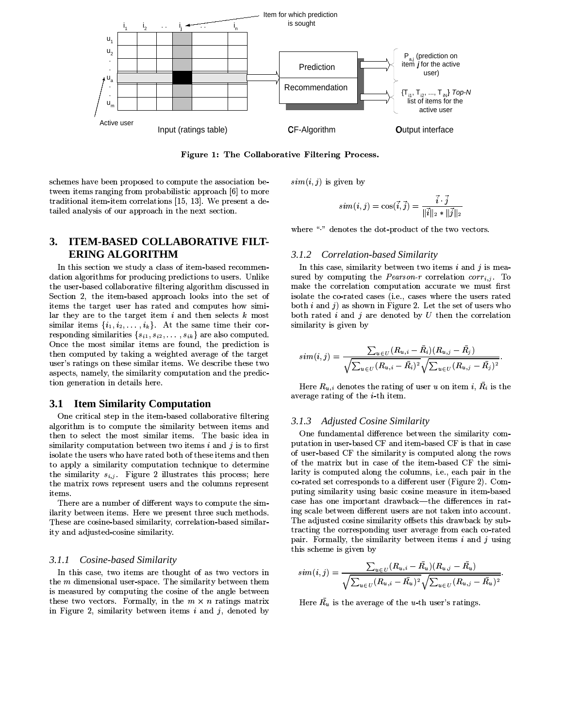

Figure 1: The Collaborative Filtering Process.

schemes have been proposed to compute the association between items ranging from probabilistic approach [6] to more traditional item-item correlations [15, 13]. We present a detailed analysis of our approach in the next section.

### **ITEM-BASED COLLABORATIVE FILT-**3. **ERING ALGORITHM**

In this section we study a class of item-based recommendation algorithms for producing predictions to users. Unlike the user-based collaborative filtering algorithm discussed in Section 2, the item-based approach looks into the set of items the target user has rated and computes how similar they are to the target item  $i$  and then selects  $k$  most similar items  $\{i_1, i_2, \ldots, i_k\}$ . At the same time their corresponding similarities  $\{s_{i1}, s_{i2}, \ldots, s_{ik}\}$  are also computed. Once the most similar items are found, the prediction is then computed by taking a weighted average of the target user's ratings on these similar items. We describe these two aspects, namely, the similarity computation and the prediction generation in details here.

#### **Item Similarity Computation** 3.1

One critical step in the item-based collaborative filtering algorithm is to compute the similarity between items and then to select the most similar items. The basic idea in similarity computation between two items  $i$  and  $j$  is to first isolate the users who have rated both of these items and then to apply a similarity computation technique to determine the similarity  $s_{i,j}$ . Figure 2 illustrates this process; here the matrix rows represent users and the columns represent items.

There are a number of different ways to compute the similarity between items. Here we present three such methods. These are cosine-based similarity, correlation-based similarity and adjusted cosine similarity.

#### $3.1.1$ Cosine-based Similarity

In this case, two items are thought of as two vectors in the  $m$  dimensional user-space. The similarity between them is measured by computing the cosine of the angle between these two vectors. Formally, in the  $m \times n$  ratings matrix in Figure 2, similarity between items  $i$  and  $j$ , denoted by

 $sim(i, j)$  is given by

$$
sim(i,j)=\cos(\vec{i},\vec{j})=\frac{i\cdot j}{\|\vec{i}\|_2\ast\|\vec{j}\|_2}
$$

where "" denotes the dot-product of the two vectors.

#### Correlation-based Similarity 3.1.2

In this case, similarity between two items  $i$  and  $j$  is measured by computing the Pearson-r correlation  $corr_{i,j}$ . To make the correlation computation accurate we must first isolate the co-rated cases (i.e., cases where the users rated both  $i$  and  $j$ ) as shown in Figure 2. Let the set of users who both rated  $i$  and  $j$  are denoted by  $U$  then the correlation similarity is given by

$$
sim(i,j) = \frac{\sum_{u \in U} (R_{u,i} - \bar{R}_i)(R_{u,j} - \bar{R}_j)}{\sqrt{\sum_{u \in U} (R_{u,i} - \bar{R}_i)^2} \sqrt{\sum_{u \in U} (R_{u,j} - \bar{R}_j)^2}}.
$$

Here  $R_{u,i}$  denotes the rating of user u on item i,  $\overline{R}_i$  is the average rating of the  $i$ -th item.

## 3.1.3 Adjusted Cosine Similarity

One fundamental difference between the similarity computation in user-based CF and item-based CF is that in case of user-based CF the similarity is computed along the rows of the matrix but in case of the item-based CF the similarity is computed along the columns, i.e., each pair in the co-rated set corresponds to a different user (Figure 2). Computing similarity using basic cosine measure in item-based case has one important drawback—the differences in rating scale between different users are not taken into account. The adjusted cosine similarity offsets this drawback by subtracting the corresponding user average from each co-rated pair. Formally, the similarity between items  $i$  and  $j$  using this scheme is given by

$$
sim(i,j) = \frac{\sum_{u \in U} (R_{u,i} - R_u)(R_{u,j} - R_u)}{\sqrt{\sum_{u \in U} (R_{u,i} - \bar{R_u})^2} \sqrt{\sum_{u \in U} (R_{u,j} - \bar{R_u})^2}}
$$

Here  $\overline{R}_u$  is the average of the *u*-th user's ratings.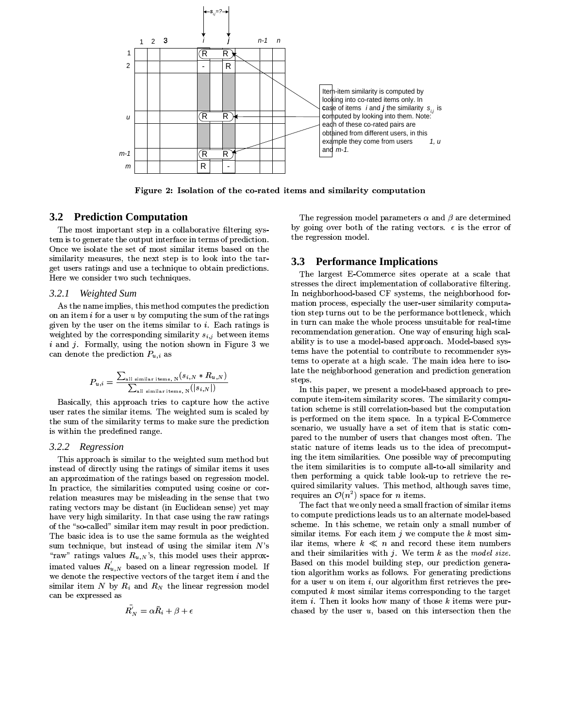

Figure 2: Isolation of the co-rated items and similarity computation

# **3.2 Prediction Computation**

The most important step in a collaborative filtering system is to generate the output interface in terms of prediction. Once we isolate the set of most similar items based on the similarity measures, the next step is to look into the target users ratings and use a technique to obtain predictions. Here we consider two such techniques.

#### $3.2.1$ Weighted Sum

As the name implies, this method computes the prediction on an item  $i$  for a user  $u$  by computing the sum of the ratings given by the user on the items similar to  $i$ . Each ratings is weighted by the corresponding similarity  $s_{i,j}$  between items  $i$  and  $j$ . Formally, using the notion shown in Figure 3 we can denote the prediction  $P_{u,i}$  as

$$
P_{u,i} = \frac{\sum_{\text{all similar items, N}} (s_{i,N} * R_{u,N})}{\sum_{\text{all similar items, N}} (|s_{i,N}|)}
$$

Basically, this approach tries to capture how the active user rates the similar items. The weighted sum is scaled by the sum of the similarity terms to make sure the prediction is within the predefined range.

#### 3.2.2 Regression

This approach is similar to the weighted sum method but instead of directly using the ratings of similar items it uses an approximation of the ratings based on regression model. In practice, the similarities computed using cosine or correlation measures may be misleading in the sense that two rating vectors may be distant (in Euclidean sense) yet may have very high similarity. In that case using the raw ratings of the "so-called" similar item may result in poor prediction. The basic idea is to use the same formula as the weighted sum technique, but instead of using the similar item  $N$ 's "raw" ratings values  $R_{u,N}$ 's, this model uses their approximated values  $R'_{u,N}$  based on a linear regression model. If we denote the respective vectors of the target item  $i$  and the similar item N by  $R_i$  and  $R_N$  the linear regression model can be expressed as

$$
R'_N = \alpha \bar{R}_i + \beta + \epsilon
$$

The regression model parameters  $\alpha$  and  $\beta$  are determined by going over both of the rating vectors.  $\epsilon$  is the error of the regression model.

# **3.3 Performance Implications**

The largest E-Commerce sites operate at a scale that stresses the direct implementation of collaborative filtering. In neighborhood-based CF systems, the neighborhood formation process, especially the user-user similarity computation step turns out to be the performance bottleneck, which in turn can make the whole process unsuitable for real-time recommendation generation. One way of ensuring high scalability is to use a model-based approach. Model-based systems have the potential to contribute to recommender systems to operate at a high scale. The main idea here to isolate the neighborhood generation and prediction generation steps.

In this paper, we present a model-based approach to precompute item-item similarity scores. The similarity computation scheme is still correlation-based but the computation is performed on the item space. In a typical E-Commerce scenario, we usually have a set of item that is static compared to the number of users that changes most often. The static nature of items leads us to the idea of precomputing the item similarities. One possible way of precomputing the item similarities is to compute all-to-all similarity and then performing a quick table look-up to retrieve the required similarity values. This method, although saves time, requires an  $\mathcal{O}(n^2)$  space for *n* items.

The fact that we only need a small fraction of similar items to compute predictions leads us to an alternate model-based scheme. In this scheme, we retain only a small number of similar items. For each item  $j$  we compute the  $k$  most similar items, where  $k \ll n$  and record these item numbers and their similarities with  $j$ . We term  $k$  as the model size. Based on this model building step, our prediction generation algorithm works as follows. For generating predictions for a user  $u$  on item  $i$ , our algorithm first retrieves the precomputed  $k$  most similar items corresponding to the target item  $i$ . Then it looks how many of those  $k$  items were purchased by the user  $u$ , based on this intersection then the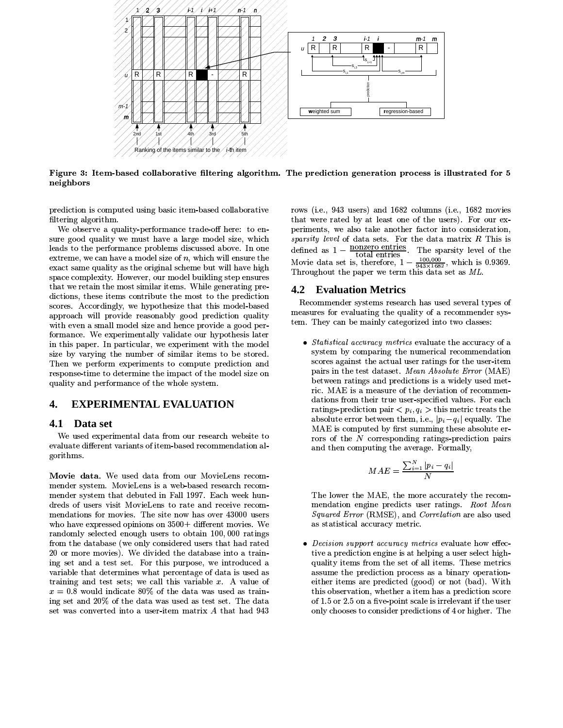

Figure 3: Item-based collaborative filtering algorithm. The prediction generation process is illustrated for 5 neighbors

prediction is computed using basic item-based collaborative filtering algorithm.

We observe a quality-performance trade-off here: to ensure good quality we must have a large model size, which leads to the performance problems discussed above. In one extreme, we can have a model size of  $n$ , which will ensure the exact same quality as the original scheme but will have high space complexity. However, our model building step ensures that we retain the most similar items. While generating predictions, these items contribute the most to the prediction scores. Accordingly, we hypothesize that this model-based approach will provide reasonably good prediction quality with even a small model size and hence provide a good performance. We experimentally validate our hypothesis later in this paper. In particular, we experiment with the model size by varying the number of similar items to be stored. Then we perform experiments to compute prediction and response time to determine the impact of the model size on quality and performance of the whole system.

#### 4. **EXPERIMENTAL EVALUATION**

#### 4.1 Data set

We used experimental data from our research website to evaluate different variants of item-based recommendation algorithms.

Movie data. We used data from our MovieLens recommender system. MovieLens is a web-based research recommender system that debuted in Fall 1997. Each week hundreds of users visit MovieLens to rate and receive recommendations for movies. The site now has over 43000 users who have expressed opinions on 3500+ different movies. We randomly selected enough users to obtain 100,000 ratings from the database (we only considered users that had rated 20 or more movies). We divided the database into a training set and a test set. For this purpose, we introduced a variable that determines what percentage of data is used as training and test sets; we call this variable  $x$ . A value of  $x = 0.8$  would indicate 80% of the data was used as training set and 20% of the data was used as test set. The data set was converted into a user-item matrix A that had 943 rows (i.e., 943 users) and 1682 columns (i.e., 1682 movies that were rated by at least one of the users). For our experiments, we also take another factor into consideration, sparsity level of data sets. For the data matrix  $R$  This is defined as  $1 - \frac{\text{nonzero entries}}{\text{total units}}$ . The sparsity level of the total entries Movie data set is, therefore,  $1 - \frac{100,000}{943 \times 1682}$ , which is 0.9369. Throughout the paper we term this data set as ML.

# **4.2 Evaluation Metrics**

Recommender systems research has used several types of measures for evaluating the quality of a recommender system. They can be mainly categorized into two classes:

• Statistical accuracy metrics evaluate the accuracy of a system by comparing the numerical recommendation scores against the actual user ratings for the user-item pairs in the test dataset. Mean Absolute Error (MAE) between ratings and predictions is a widely used metric. MAE is a measure of the deviation of recommendations from their true user-specified values. For each ratings-prediction pair  $\langle p_i, q_i \rangle$  this metric treats the absolute error between them, i.e.,  $|p_i - q_i|$  equally. The MAE is computed by first summing these absolute errors of the  $N$  corresponding ratings-prediction pairs and then computing the average. Formally,

$$
MAE = \frac{\sum_{i=1}^{N} |p_i - q_i|}{N}
$$

The lower the MAE, the more accurately the recommendation engine predicts user ratings. Root Mean Squared Error (RMSE), and Correlation are also used as statistical accuracy metric.

• Decision support accuracy metrics evaluate how effective a prediction engine is at helping a user select highquality items from the set of all items. These metrics assume the prediction process as a binary operationeither items are predicted (good) or not (bad). With this observation, whether a item has a prediction score of 1.5 or 2.5 on a five-point scale is irrelevant if the user only chooses to consider predictions of 4 or higher. The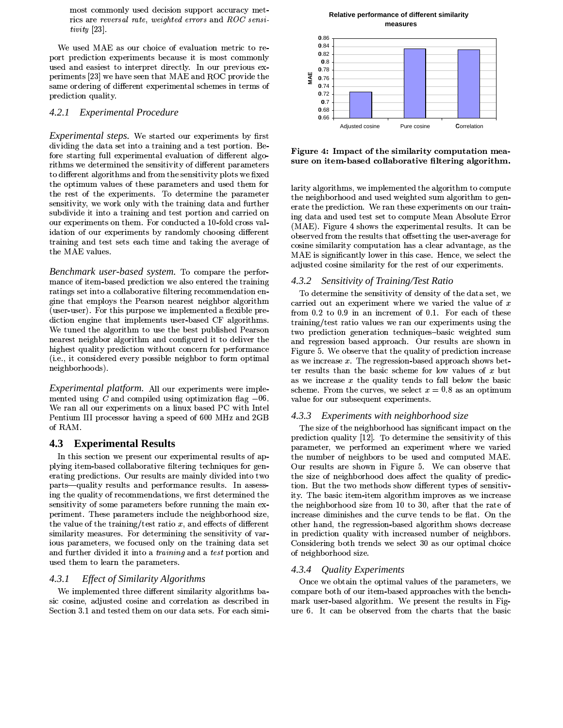most commonly used decision support accuracy metrics are reversal rate, weighted errors and ROC sensi $tivity$  [23].

We used MAE as our choice of evaluation metric to report prediction experiments because it is most commonly used and easiest to interpret directly. In our previous experiments [23] we have seen that MAE and ROC provide the same ordering of different experimental schemes in terms of prediction quality.

### 4.2.1 Experimental Procedure

Experimental steps. We started our experiments by first dividing the data set into a training and a test portion. Before starting full experimental evaluation of different algorithms we determined the sensitivity of different parameters to different algorithms and from the sensitivity plots we fixed the optimum values of these parameters and used them for the rest of the experiments. To determine the parameter sensitivity, we work only with the training data and further subdivide it into a training and test portion and carried on our experiments on them. For conducted a 10-fold cross validation of our experiments by randomly choosing different training and test sets each time and taking the average of the MAE values.

Benchmark user-based system. To compare the performance of item-based prediction we also entered the training ratings set into a collaborative filtering recommendation engine that employs the Pearson nearest neighbor algorithm (user-user). For this purpose we implemented a flexible prediction engine that implements user-based CF algorithms. We tuned the algorithm to use the best published Pearson nearest neighbor algorithm and configured it to deliver the highest quality prediction without concern for performance (i.e., it considered every possible neighbor to form optimal neighborhoods).

Experimental platform. All our experiments were implemented using  $C$  and compiled using optimization flag  $-06$ . We ran all our experiments on a linux based PC with Intel Pentium III processor having a speed of 600 MHz and 2GB of RAM.

#### 4.3 **Experimental Results**

In this section we present our experimental results of applying item-based collaborative filtering techniques for generating predictions. Our results are mainly divided into two parts-quality results and performance results. In assessing the quality of recommendations, we first determined the sensitivity of some parameters before running the main experiment. These parameters include the neighborhood size, the value of the training/test ratio  $x$ , and effects of different similarity measures. For determining the sensitivity of various parameters, we focused only on the training data set and further divided it into a *training* and a *test* portion and used them to learn the parameters.

#### $4.3.1$ *Effect of Similarity Algorithms*

We implemented three different similarity algorithms basic cosine, adjusted cosine and correlation as described in Section 3.1 and tested them on our data sets. For each simi-

### Relative performance of different similarity measures



Figure 4: Impact of the similarity computation measure on item-based collaborative filtering algorithm.

larity algorithms, we implemented the algorithm to compute the neighborhood and used weighted sum algorithm to generate the prediction. We ran these experiments on our training data and used test set to compute Mean Absolute Error (MAE). Figure 4 shows the experimental results. It can be observed from the results that offsetting the user-average for cosine similarity computation has a clear advantage, as the MAE is significantly lower in this case. Hence, we select the adjusted cosine similarity for the rest of our experiments.

#### 4.3.2 Sensitivity of Training/Test Ratio

To determine the sensitivity of density of the data set, we carried out an experiment where we varied the value of  $x$ from 0.2 to 0.9 in an increment of 0.1. For each of these training/test ratio values we ran our experiments using the two prediction generation techniques-basic weighted sum and regression based approach. Our results are shown in Figure 5. We observe that the quality of prediction increase as we increase  $x$ . The regression-based approach shows better results than the basic scheme for low values of  $x$  but as we increase  $x$  the quality tends to fall below the basic scheme. From the curves, we select  $x = 0.8$  as an optimum value for our subsequent experiments.

### 4.3.3 Experiments with neighborhood size

The size of the neighborhood has significant impact on the prediction quality [12]. To determine the sensitivity of this parameter, we performed an experiment where we varied the number of neighbors to be used and computed MAE. Our results are shown in Figure 5. We can observe that the size of neighborhood does affect the quality of prediction. But the two methods show different types of sensitivity. The basic item-item algorithm improves as we increase the neighborhood size from 10 to 30, after that the rate of increase diminishes and the curve tends to be flat. On the other hand, the regression-based algorithm shows decrease in prediction quality with increased number of neighbors. Considering both trends we select 30 as our optimal choice of neighborhood size.

## 4.3.4 Quality Experiments

Once we obtain the optimal values of the parameters, we compare both of our item-based approaches with the benchmark user-based algorithm. We present the results in Figure 6. It can be observed from the charts that the basic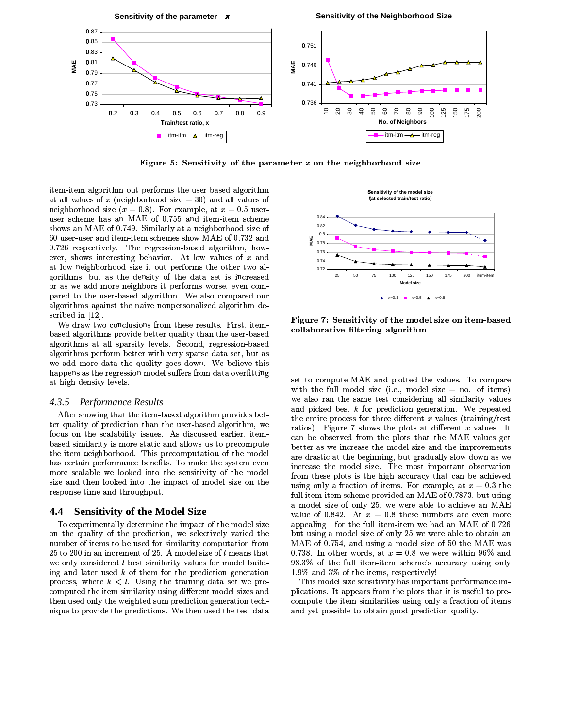

Figure 5: Sensitivity of the parameter  $x$  on the neighborhood size

item-item algorithm out performs the user based algorithm at all values of x (neighborhood size  $=$  30) and all values of neighborhood size  $(x = 0.8)$ . For example, at  $x = 0.5$  useruser scheme has an MAE of 0.755 and item-item scheme shows an MAE of 0.749. Similarly at a neighborhood size of 60 user-user and item-item schemes show MAE of 0.732 and 0.726 respectively. The regression-based algorithm, however, shows interesting behavior. At low values of  $x$  and at low neighborhood size it out performs the other two algorithms, but as the density of the data set is increased or as we add more neighbors it performs worse, even compared to the user-based algorithm. We also compared our algorithms against the naive nonpersonalized algorithm described in [12].

We draw two conclusions from these results. First, itembased algorithms provide better quality than the user-based algorithms at all sparsity levels. Second, regression-based algorithms perform better with very sparse data set, but as we add more data the quality goes down. We believe this happens as the regression model suffers from data overfitting at high density levels.

### 4.3.5 Performance Results

After showing that the item-based algorithm provides better quality of prediction than the user-based algorithm, we focus on the scalability issues. As discussed earlier, itembased similarity is more static and allows us to precompute the item neighborhood. This precomputation of the model has certain performance benefits. To make the system even more scalable we looked into the sensitivity of the model size and then looked into the impact of model size on the response time and throughput.

#### **Sensitivity of the Model Size** 4.4

To experimentally determine the impact of the model size on the quality of the prediction, we selectively varied the number of items to be used for similarity computation from 25 to 200 in an increment of 25. A model size of l means that we only considered *l* best similarity values for model building and later used  $k$  of them for the prediction generation process, where  $k < l$ . Using the training data set we precomputed the item similarity using different model sizes and then used only the weighted sum prediction generation technique to provide the predictions. We then used the test data



Figure 7: Sensitivity of the model size on item-based collaborative filtering algorithm

set to compute MAE and plotted the values. To compare with the full model size (i.e., model size  $=$  no. of items) we also ran the same test considering all similarity values and picked best  $k$  for prediction generation. We repeated the entire process for three different  $x$  values (training/test ratios). Figure 7 shows the plots at different  $x$  values. It can be observed from the plots that the MAE values get better as we increase the model size and the improvements are drastic at the beginning, but gradually slow down as we increase the model size. The most important observation from these plots is the high accuracy that can be achieved using only a fraction of items. For example, at  $x = 0.3$  the full item-item scheme provided an MAE of 0.7873, but using a model size of only 25, we were able to achieve an MAE value of 0.842. At  $x = 0.8$  these numbers are even more appealing—for the full item-item we had an MAE of 0.726 but using a model size of only 25 we were able to obtain an MAE of 0.754, and using a model size of 50 the MAE was 0.738. In other words, at  $x = 0.8$  we were within 96% and 98.3% of the full item-item scheme's accuracy using only 1.9% and 3% of the items, respectively!

This model size sensitivity has important performance implications. It appears from the plots that it is useful to precompute the item similarities using only a fraction of items and yet possible to obtain good prediction quality.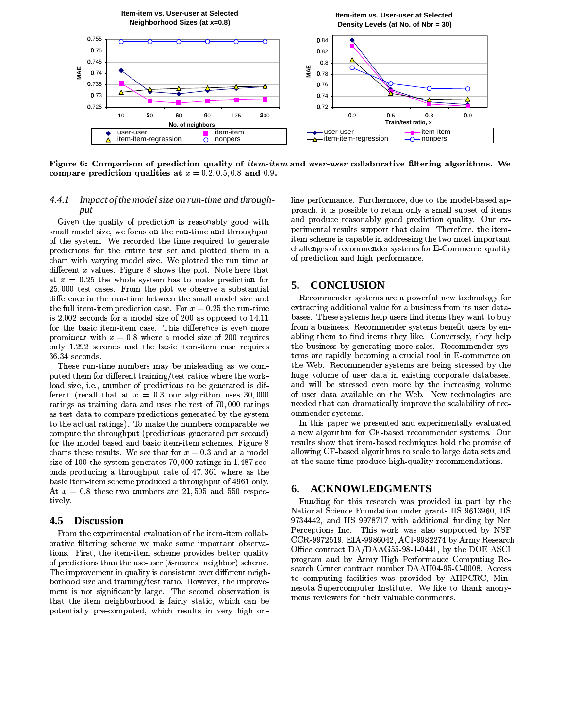

Figure 6: Comparison of prediction quality of *item-item* and *user-user* collaborative filtering algorithms. We compare prediction qualities at  $x = 0.2, 0.5, 0.8$  and 0.9.

### Impact of the model size on run-time and through-4.4.1 put

Given the quality of prediction is reasonably good with small model size, we focus on the run-time and throughput of the system. We recorded the time required to generate predictions for the entire test set and plotted them in a chart with varying model size. We plotted the run time at different  $x$  values. Figure 8 shows the plot. Note here that at  $x = 0.25$  the whole system has to make prediction for 25,000 test cases. From the plot we observe a substantial difference in the run-time between the small model size and the full item-item prediction case. For  $x = 0.25$  the run-time is 2.002 seconds for a model size of 200 as opposed to 14.11 for the basic item-item case. This difference is even more prominent with  $x = 0.8$  where a model size of 200 requires only 1.292 seconds and the basic item-item case requires 36.34 seconds.

These run-time numbers may be misleading as we computed them for different training/test ratios where the workload size, i.e., number of predictions to be generated is different (recall that at  $x = 0.3$  our algorithm uses 30,000 ratings as training data and uses the rest of 70,000 ratings as test data to compare predictions generated by the system to the actual ratings). To make the numbers comparable we compute the throughput (predictions generated per second) for the model based and basic item-item schemes. Figure 8 charts these results. We see that for  $x = 0.3$  and at a model size of 100 the system generates 70,000 ratings in 1.487 seconds producing a throughput rate of 47,361 where as the basic item-item scheme produced a throughput of 4961 only. At  $x = 0.8$  these two numbers are 21,505 and 550 respectively.

#### 4.5 **Discussion**

From the experimental evaluation of the item-item collaborative filtering scheme we make some important observations. First, the item-item scheme provides better quality of predictions than the use-user  $(k$ -nearest neighbor) scheme. The improvement in quality is consistent over different neighborhood size and training/test ratio. However, the improvement is not significantly large. The second observation is that the item neighborhood is fairly static, which can be potentially pre-computed, which results in very high online performance. Furthermore, due to the model-based approach, it is possible to retain only a small subset of items and produce reasonably good prediction quality. Our experimental results support that claim. Therefore, the itemitem scheme is capable in addressing the two most important challenges of recommender systems for E-Commerce-quality of prediction and high performance.

#### 5. **CONCLUSION**

Recommender systems are a powerful new technology for extracting additional value for a business from its user databases. These systems help users find items they want to buy from a business. Recommender systems benefit users by enabling them to find items they like. Conversely, they help the business by generating more sales. Recommender systems are rapidly becoming a crucial tool in E-commerce on the Web. Recommender systems are being stressed by the huge volume of user data in existing corporate databases, and will be stressed even more by the increasing volume of user data available on the Web. New technologies are needed that can dramatically improve the scalability of recommender systems.

In this paper we presented and experimentally evaluated a new algorithm for CF-based recommender systems. Our results show that item-based techniques hold the promise of allowing CF-based algorithms to scale to large data sets and at the same time produce high-quality recommendations.

#### 6. **ACKNOWLEDGMENTS**

Funding for this research was provided in part by the National Science Foundation under grants IIS 9613960, IIS 9734442, and IIS 9978717 with additional funding by Net Perceptions Inc. This work was also supported by NSF CCR-9972519, EIA-9986042, ACI-9982274 by Army Research Office contract DA/DAAG55-98-1-0441, by the DOE ASCI program and by Army High Performance Computing Research Center contract number DAAH04-95-C-0008. Access to computing facilities was provided by AHPCRC, Minnesota Supercomputer Institute. We like to thank anonymous reviewers for their valuable comments.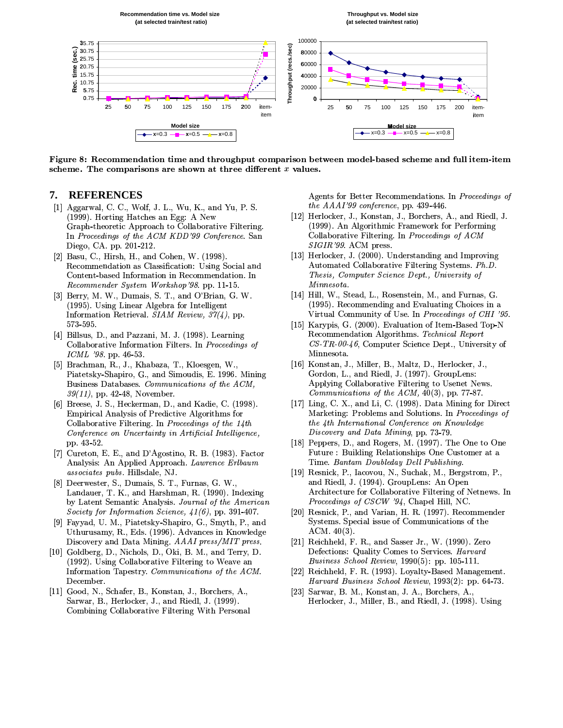

Figure 8: Recommendation time and throughput comparison between model-based scheme and full item-item scheme. The comparisons are shown at three different  $x$  values.

#### 7. **REFERENCES**

- [1] Aggarwal, C. C., Wolf, J. L., Wu, K., and Yu, P. S. (1999). Horting Hatches an Egg: A New Graph-theoretic Approach to Collaborative Filtering. In Proceedings of the ACM KDD'99 Conference. San Diego, CA. pp. 201-212.
- [2] Basu, C., Hirsh, H., and Cohen, W. (1998). Recommendation as Classification: Using Social and Content-based Information in Recommendation. In Recommender System Workshop'98. pp. 11-15.
- [3] Berry, M. W., Dumais, S. T., and O'Brian, G. W. (1995). Using Linear Algebra for Intelligent Information Retrieval. SIAM Review,  $37(4)$ , pp. 573 595.
- [4] Billsus, D., and Pazzani, M. J. (1998). Learning Collaborative Information Filters. In Proceedings of  $ICML$  '98 pp. 46-53.
- [5] Brachman, R., J., Khabaza, T., Kloesgen, W., Piatetsky-Shapiro, G., and Simoudis, E. 1996. Mining Business Databases. Communications of the ACM,  $39(11)$ , pp. 42-48, November.
- [6] Breese, J. S., Heckerman, D., and Kadie, C. (1998). Empirical Analysis of Predictive Algorithms for Collaborative Filtering. In Proceedings of the 14th Conference on Uncertainty in Artificial Intelligence, pp. 43-52.
- [7] Cureton, E. E., and D'Agostino, R. B. (1983). Factor Analysis: An Applied Approach. Lawrence Erlbaum associates pubs. Hillsdale, NJ.
- [8] Deerwester, S., Dumais, S. T., Furnas, G. W., Landauer, T. K., and Harshman, R. (1990). Indexing by Latent Semantic Analysis. Journal of the American Society for Information Science,  $41(6)$ , pp. 391-407.
- [9] Favvad, U. M., Piatetsky-Shapiro, G., Smyth, P., and Uthurusamy, R., Eds. (1996). Advances in Knowledge Discovery and Data Mining. AAAI press/MIT press.
- [10] Goldberg, D., Nichols, D., Oki, B. M., and Terry, D. (1992). Using Collaborative Filtering to Weave an Information Tapestry. Communications of the ACM. December.
- [11] Good, N., Schafer, B., Konstan, J., Borchers, A., Sarwar, B., Herlocker, J., and Riedl, J. (1999). Combining Collaborative Filtering With Personal

Agents for Better Recommendations. In Proceedings of the AAAI'99 conference, pp. 439-446.

- [12] Herlocker, J., Konstan, J., Borchers, A., and Riedl, J. (1999). An Algorithmic Framework for Performing Collaborative Filtering. In Proceedings of ACM  $SIGIR'99$ . ACM press.
- [13] Herlocker, J. (2000). Understanding and Improving Automated Collaborative Filtering Systems. Ph.D. Thesis, Computer Science Dept., University of Minnesota.
- [14] Hill, W., Stead, L., Rosenstein, M., and Furnas, G. (1995). Recommending and Evaluating Choices in a Virtual Community of Use. In Proceedings of CHI '95.
- [15] Karypis, G. (2000). Evaluation of Item-Based Top-N Recommendation Algorithms. Technical Report CS-TR-00-46, Computer Science Dept., University of Minnesota.
- [16] Konstan, J., Miller, B., Maltz, D., Herlocker, J., Gordon, L., and Riedl, J. (1997). GroupLens: Applying Collaborative Filtering to Usenet News. Communications of the  $ACM$ , 40(3), pp. 77-87.
- [17] Ling, C. X., and Li, C. (1998). Data Mining for Direct Marketing: Problems and Solutions. In Proceedings of the 4th International Conference on Knowledge Discovery and Data Mining, pp. 73-79.
- [18] Peppers, D., and Rogers, M. (1997). The One to One Future: Building Relationships One Customer at a Time. Bantam Doubleday Dell Publishing.
- [19] Resnick, P., Iacovou, N., Suchak, M., Bergstrom, P., and Riedl, J. (1994). GroupLens: An Open Architecture for Collaborative Filtering of Netnews. In *Proceedings of CSCW '94*, Chapel Hill, NC.
- [20] Resnick, P., and Varian, H. R. (1997). Recommender Systems. Special issue of Communications of the  $ACM. 40(3)$ .
- [21] Reichheld, F. R., and Sasser Jr., W. (1990). Zero Defections: Quality Comes to Services. Harvard Business School Review, 1990(5): pp. 105-111.
- [22] Reichheld, F. R. (1993). Loyalty-Based Management. Harvard Business School Review, 1993(2): pp. 64-73.
- Sarwar, B. M., Konstan, J. A., Borchers, A.,  $\left[23\right]$ Herlocker, J., Miller, B., and Riedl, J. (1998). Using